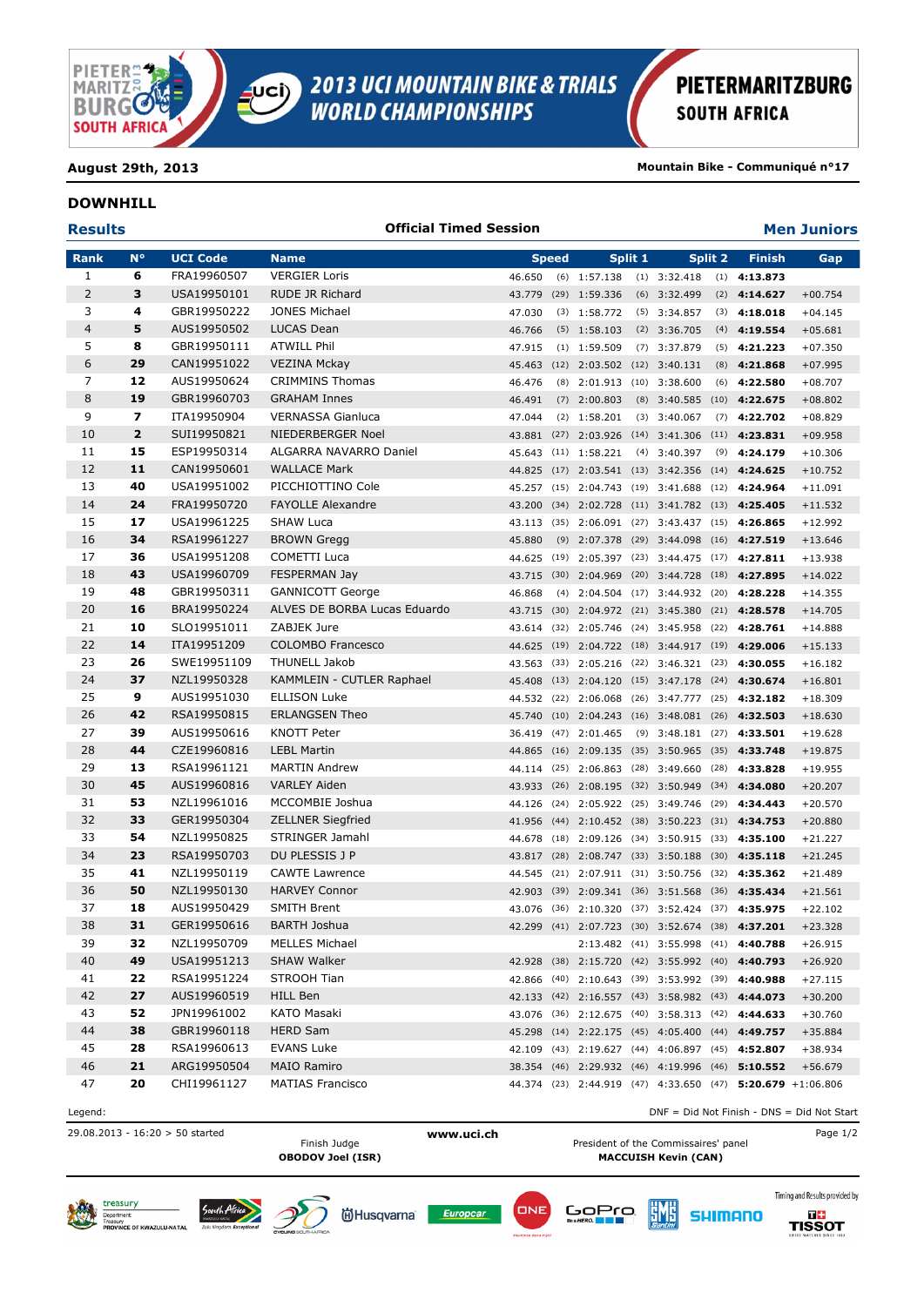

## **PIETERMARITZBURG SOUTH AFRICA**

**August 29th, 2013 Mountain Bike - Communiqué n°17**

#### **DOWNHILL**

### **Results Men Juniors Official Timed Session Rank N° UCI Code Name Speed Split 1 Split 2 Finish Gap 6** FRA19960507 VERGIER Loris 46.650 (6) 1:57.138 (1) 3:32.418 (1) **4:13.873 3** USA19950101 RUDE JR Richard 43.779 (29) 1:59.336 (6) 3:32.499 (2) **4:14.627** +00.754 **4** GBR19950222 JONES Michael 47.030 (3) 1:58.772 (5) 3:34.857 (3) **4:18.018** +04.145 **5** AUS19950502 LUCAS Dean 46.766 (5) 1:58.103 (2) 3:36.705 (4) **4:19.554** +05.681 **8** GBR19950111 ATWILL Phil 47.915 (1) 1:59.509 (7) 3:37.879 (5) **4:21.223** +07.350 **29** CAN19951022 VEZINA Mckay 45.463 (12) 2:03.502 (12) 3:40.131 (8) **4:21.868** +07.995 **12** AUS19950624 CRIMMINS Thomas 46.476 (8) 2:01.913 (10) 3:38.600 (6) **4:22.580** +08.707 **19** GBR19960703 GRAHAM Innes 46.491 (7) 2:00.803 (8) 3:40.585 (10) **4:22.675** +08.802 **7** ITA19950904 VERNASSA Gianluca 47.044 (2) 1:58.201 (3) 3:40.067 (7) **4:22.702** +08.829 **2** SUI19950821 NIEDERBERGER Noel 43.881 (27) 2:03.926 (14) 3:41.306 (11) **4:23.831** +09.958 **15** ESP19950314 ALGARRA NAVARRO Daniel 45.643 (11) 1:58.221 (4) 3:40.397 (9) **4:24.179** +10.306 **11** CAN19950601 WALLACE Mark 44.825 (17) 2:03.541 (13) 3:42.356 (14) **4:24.625** +10.752 **40** USA19951002 PICCHIOTTINO Cole 45.257 (15) 2:04.743 (19) 3:41.688 (12) **4:24.964** +11.091 **24** FRA19950720 FAYOLLE Alexandre 43.200 (34) 2:02.728 (11) 3:41.782 (13) **4:25.405** +11.532 **17** USA19961225 SHAW Luca 43.113 (35) 2:06.091 (27) 3:43.437 (15) **4:26.865** +12.992 **34** RSA19961227 BROWN Gregg 45.880 (9) 2:07.378 (29) 3:44.098 (16) **4:27.519** +13.646 **36** USA19951208 COMETTI Luca 44.625 (19) 2:05.397 (23) 3:44.475 (17) **4:27.811** +13.938 **43** USA19960709 FESPERMAN Jay 43.715 (30) 2:04.969 (20) 3:44.728 (18) **4:27.895** +14.022 **48** GBR19950311 GANNICOTT George 46.868 (4) 2:04.504 (17) 3:44.932 (20) **4:28.228** +14.355 **16** BRA19950224 ALVES DE BORBA Lucas Eduardo 43.715 (30) 2:04.972 (21) 3:45.380 (21) **4:28.578** +14.705 **10** SLO19951011 ZABJEK Jure 43.614 (32) 2:05.746 (24) 3:45.958 (22) **4:28.761** +14.888 **14** ITA19951209 COLOMBO Francesco 44.625 (19) 2:04.722 (18) 3:44.917 (19) **4:29.006** +15.133 **26** SWE19951109 THUNELL Jakob 43.563 (33) 2:05.216 (22) 3:46.321 (23) **4:30.055** +16.182 **37** NZL19950328 KAMMLEIN - CUTLER Raphael 45.408 (13) 2:04.120 (15) 3:47.178 (24) **4:30.674** +16.801 **9** AUS19951030 ELLISON Luke 44.532 (22) 2:06.068 (26) 3:47.777 (25) **4:32.182** +18.309 **42** RSA19950815 ERLANGSEN Theo 45.740 (10) 2:04.243 (16) 3:48.081 (26) **4:32.503** +18.630 **39** AUS19950616 KNOTT Peter 36.419 (47) 2:01.465 (9) 3:48.181 (27) **4:33.501** +19.628 **44** CZE19960816 LEBL Martin 44.865 (16) 2:09.135 (35) 3:50.965 (35) **4:33.748** +19.875 **13** RSA19961121 MARTIN Andrew 44.114 (25) 2:06.863 (28) 3:49.660 (28) **4:33.828** +19.955 **45** AUS19960816 VARLEY Aiden 43.933 (26) 2:08.195 (32) 3:50.949 (34) **4:34.080** +20.207 **53** NZL19961016 MCCOMBIE Joshua 44.126 (24) 2:05.922 (25) 3:49.746 (29) **4:34.443** +20.570 **33** GER19950304 ZELLNER Siegfried 41.956 (44) 2:10.452 (38) 3:50.223 (31) **4:34.753** +20.880 **54** NZL19950825 STRINGER Jamahl 44.678 (18) 2:09.126 (34) 3:50.915 (33) **4:35.100** +21.227 **23** RSA19950703 DU PLESSIS J P 43.817 (28) 2:08.747 (33) 3:50.188 (30) **4:35.118** +21.245 **41** NZL19950119 CAWTE Lawrence 44.545 (21) 2:07.911 (31) 3:50.756 (32) **4:35.362** +21.489 **50** NZL19950130 HARVEY Connor 42.903 (39) 2:09.341 (36) 3:51.568 (36) **4:35.434** +21.561 **18** AUS19950429 SMITH Brent 43.076 (36) 2:10.320 (37) 3:52.424 (37) **4:35.975** +22.102 **31** GER19950616 BARTH Joshua 42.299 (41) 2:07.723 (30) 3:52.674 (38) **4:37.201** +23.328 **32** NZL19950709 MELLES Michael 2:13.482 (41) 3:55.998 (41) **4:40.788** +26.915 **49** USA19951213 SHAW Walker 42.928 (38) 2:15.720 (42) 3:55.992 (40) **4:40.793** +26.920 **22** RSA19951224 STROOH Tian 42.866 (40) 2:10.643 (39) 3:53.992 (39) **4:40.988** +27.115 **27** AUS19960519 HILL Ben 42.133 (42) 2:16.557 (43) 3:58.982 (43) **4:44.073** +30.200 **52** JPN19961002 KATO Masaki 43.076 (36) 2:12.675 (40) 3:58.313 (42) **4:44.633** +30.760 **38** GBR19960118 HERD Sam 45.298 (14) 2:22.175 (45) 4:05.400 (44) **4:49.757** +35.884 **28** RSA19960613 EVANS Luke 42.109 (43) 2:19.627 (44) 4:06.897 (45) **4:52.807** +38.934 **21** ARG19950504 MAIO Ramiro 38.354 (46) 2:29.932 (46) 4:19.996 (46) **5:10.552** +56.679 **20** CHI19961127 MATIAS Francisco 44.374 (23) 2:44.919 (47) 4:33.650 (47) **5:20.679** +1:06.806

Legend: DNF = Did Not Finish - DNS = Did Not Start

29.08.2013 - 16:20 > 50 started **www.uci.ch** Page 1/2

President of the Commissaires' panel **OBODOV Joel (ISR) MACCUISH Kevin (CAN)**

ËMË